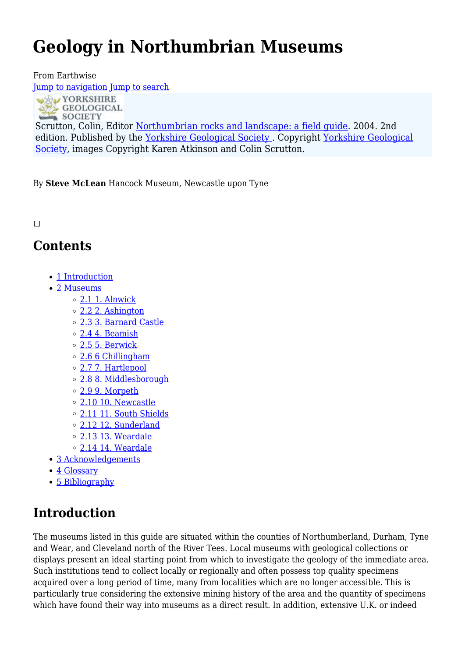# **Geology in Northumbrian Museums**

From Earthwise [Jump to navigation](#page--1-0) [Jump to search](#page--1-0)

**WAY YORKSHIRE** GEOLOGICAL

Scrutton, Colin, Editor [Northumbrian rocks and landscape: a field guide](http://earthwise.bgs.ac.uk/index.php/Northumbrian_rocks_and_landscape:_a_field_guide). 2004. 2nd edition. Published by the [Yorkshire Geological](https://www.yorksgeolsoc.org.uk) Society. Copyright Yorkshire Geological [Society,](https://www.yorksgeolsoc.org.uk) images Copyright Karen Atkinson and Colin Scrutton.

By **Steve McLean** Hancock Museum, Newcastle upon Tyne

 $\Box$ 

# **Contents**

- [1](#page--1-0) [Introduction](#page--1-0)
- [2](#page--1-0) [Museums](#page--1-0)
	- [2.1](#1._Alnwick) [1. Alnwick](#1._Alnwick)
	- [2.2](#2._Ashington) [2. Ashington](#2._Ashington)
	- [2.3](#3._Barnard_Castle) [3. Barnard Castle](#3._Barnard_Castle)
	- [2.4](#4._Beamish) [4. Beamish](#4._Beamish)
	- [2.5](#5._Berwick) [5. Berwick](#5._Berwick)
	- [2.6](#page--1-0) [6 Chillingham](#page--1-0)
	- [2.7](#7._Hartlepool) [7. Hartlepool](#7._Hartlepool)
	- [2.8](#8._Middlesborough) [8. Middlesborough](#8._Middlesborough)
	- [2.9](#9._Morpeth) [9. Morpeth](#9._Morpeth)
	- [2.10](#10._Newcastle) [10. Newcastle](#10._Newcastle)
	- [2.11](#11._South_Shields) [11. South Shields](#11._South_Shields)
	- [2.12](#12._Sunderland) [12. Sunderland](#12._Sunderland)
	- [2.13](#13._Weardale) [13. Weardale](#13._Weardale)
	- [2.14](#14._Weardale) [14. Weardale](#14._Weardale)
- [3](#page--1-0) [Acknowledgements](#page--1-0)
- [4](#page--1-0) [Glossary](#page--1-0)
- [5](#page--1-0) [Bibliography](#page--1-0)

# **Introduction**

The museums listed in this guide are situated within the counties of Northumberland, Durham, Tyne and Wear, and Cleveland north of the River Tees. Local museums with geological collections or displays present an ideal starting point from which to investigate the geology of the immediate area. Such institutions tend to collect locally or regionally and often possess top quality specimens acquired over a long period of time, many from localities which are no longer accessible. This is particularly true considering the extensive mining history of the area and the quantity of specimens which have found their way into museums as a direct result. In addition, extensive U.K. or indeed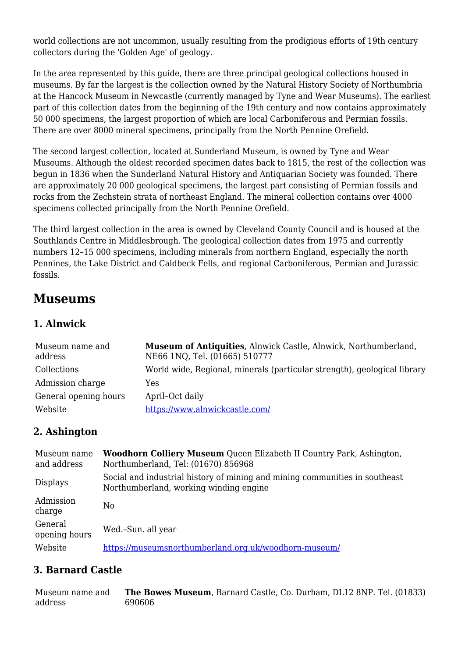world collections are not uncommon, usually resulting from the prodigious efforts of 19th century collectors during the 'Golden Age' of geology.

In the area represented by this guide, there are three principal geological collections housed in museums. By far the largest is the collection owned by the Natural History Society of Northumbria at the Hancock Museum in Newcastle (currently managed by Tyne and Wear Museums). The earliest part of this collection dates from the beginning of the 19th century and now contains approximately 50 000 specimens, the largest proportion of which are local Carboniferous and Permian fossils. There are over 8000 mineral specimens, principally from the North Pennine Orefield.

The second largest collection, located at Sunderland Museum, is owned by Tyne and Wear Museums. Although the oldest recorded specimen dates back to 1815, the rest of the collection was begun in 1836 when the Sunderland Natural History and Antiquarian Society was founded. There are approximately 20 000 geological specimens, the largest part consisting of Permian fossils and rocks from the Zechstein strata of northeast England. The mineral collection contains over 4000 specimens collected principally from the North Pennine Orefield.

The third largest collection in the area is owned by Cleveland County Council and is housed at the Southlands Centre in Middlesbrough. The geological collection dates from 1975 and currently numbers 12–15 000 specimens, including minerals from northern England, especially the north Pennines, the Lake District and Caldbeck Fells, and regional Carboniferous, Permian and Jurassic fossils.

# **Museums**

#### **1. Alnwick**

| Museum name and<br>address | Museum of Antiquities, Alnwick Castle, Alnwick, Northumberland,<br>NE66 1NQ, Tel. (01665) 510777 |
|----------------------------|--------------------------------------------------------------------------------------------------|
| Collections                | World wide, Regional, minerals (particular strength), geological library                         |
| Admission charge           | Yes                                                                                              |
| General opening hours      | April-Oct daily                                                                                  |
| Website                    | https://www.alnwickcastle.com/                                                                   |

#### **2. Ashington**

| Museum name<br>and address | <b>Woodhorn Colliery Museum</b> Queen Elizabeth II Country Park, Ashington,<br>Northumberland, Tel: (01670) 856968    |
|----------------------------|-----------------------------------------------------------------------------------------------------------------------|
| <b>Displays</b>            | Social and industrial history of mining and mining communities in southeast<br>Northumberland, working winding engine |
| Admission<br>charge        | N <sub>0</sub>                                                                                                        |
| General<br>opening hours   | Wed.-Sun. all year                                                                                                    |
| Website                    | https://museumsnorthumberland.org.uk/woodhorn-museum/                                                                 |

#### **3. Barnard Castle**

Museum name and address **The Bowes Museum**, Barnard Castle, Co. Durham, DL12 8NP. Tel. (01833) 690606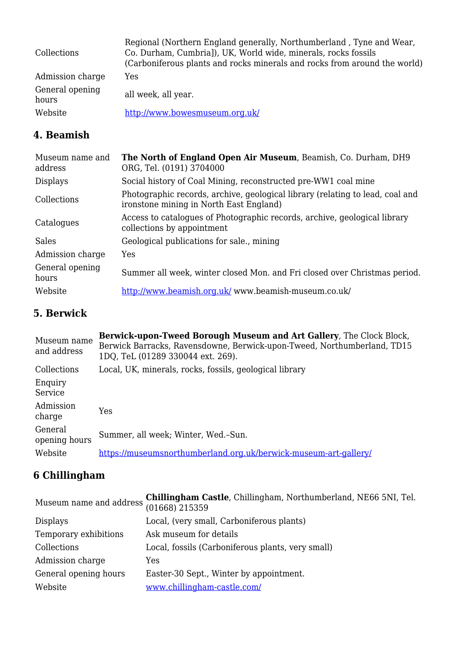| Collections              | Regional (Northern England generally, Northumberland, Tyne and Wear,<br>Co. Durham, Cumbria]), UK, World wide, minerals, rocks fossils<br>(Carboniferous plants and rocks minerals and rocks from around the world) |
|--------------------------|---------------------------------------------------------------------------------------------------------------------------------------------------------------------------------------------------------------------|
| Admission charge         | Yes                                                                                                                                                                                                                 |
| General opening<br>hours | all week, all year.                                                                                                                                                                                                 |
| Website                  | http://www.bowesmuseum.org.uk/                                                                                                                                                                                      |

# **4. Beamish**

| Museum name and<br>address | The North of England Open Air Museum, Beamish, Co. Durham, DH9<br>ORG, Tel. (0191) 3704000                               |
|----------------------------|--------------------------------------------------------------------------------------------------------------------------|
| <b>Displays</b>            | Social history of Coal Mining, reconstructed pre-WW1 coal mine                                                           |
| Collections                | Photographic records, archive, geological library (relating to lead, coal and<br>ironstone mining in North East England) |
| Catalogues                 | Access to catalogues of Photographic records, archive, geological library<br>collections by appointment                  |
| Sales                      | Geological publications for sale., mining                                                                                |
| Admission charge           | Yes                                                                                                                      |
| General opening<br>hours   | Summer all week, winter closed Mon. and Fri closed over Christmas period.                                                |
| Website                    | http://www.beamish.org.uk/ www.beamish-museum.co.uk/                                                                     |

#### **5. Berwick**

| Museum name<br>and address | <b>Berwick-upon-Tweed Borough Museum and Art Gallery, The Clock Block,</b><br>Berwick Barracks, Ravensdowne, Berwick-upon-Tweed, Northumberland, TD15<br>1DQ, TeL (01289 330044 ext. 269). |
|----------------------------|--------------------------------------------------------------------------------------------------------------------------------------------------------------------------------------------|
| Collections                | Local, UK, minerals, rocks, fossils, geological library                                                                                                                                    |
| Enquiry<br>Service         |                                                                                                                                                                                            |
| Admission<br>charge        | Yes                                                                                                                                                                                        |
| General<br>opening hours   | Summer, all week; Winter, Wed.-Sun.                                                                                                                                                        |
| Website                    | https://museumsnorthumberland.org.uk/berwick-museum-art-gallery/                                                                                                                           |

### **6 Chillingham**

|                       | Museum name and address $\frac{\text{Chillingham Castle}}{\text{(01668)} 215359}$ , Chillingham, Northumberland, NE66 5NI, Tel. |
|-----------------------|---------------------------------------------------------------------------------------------------------------------------------|
| <b>Displays</b>       | Local, (very small, Carboniferous plants)                                                                                       |
| Temporary exhibitions | Ask museum for details                                                                                                          |
| Collections           | Local, fossils (Carboniferous plants, very small)                                                                               |
| Admission charge      | Yes                                                                                                                             |
| General opening hours | Easter-30 Sept., Winter by appointment.                                                                                         |
| Website               | www.chillingham-castle.com/                                                                                                     |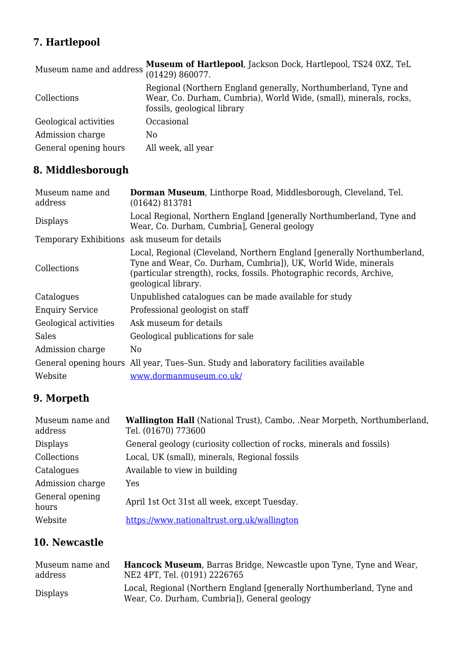# **7. Hartlepool**

| Museum name and address | Museum of Hartlepool, Jackson Dock, Hartlepool, TS24 0XZ, TeL<br>(01429) 860077.                                                                                   |
|-------------------------|--------------------------------------------------------------------------------------------------------------------------------------------------------------------|
| Collections             | Regional (Northern England generally, Northumberland, Tyne and<br>Wear, Co. Durham, Cumbria), World Wide, (small), minerals, rocks,<br>fossils, geological library |
| Geological activities   | Occasional                                                                                                                                                         |
| Admission charge        | N0                                                                                                                                                                 |
| General opening hours   | All week, all year                                                                                                                                                 |

# **8. Middlesborough**

| Museum name and<br>address | Dorman Museum, Linthorpe Road, Middlesborough, Cleveland, Tel.<br>(01642) 813781                                                                                                                                                          |
|----------------------------|-------------------------------------------------------------------------------------------------------------------------------------------------------------------------------------------------------------------------------------------|
| <b>Displays</b>            | Local Regional, Northern England [generally Northumberland, Tyne and<br>Wear, Co. Durham, Cumbria], General geology                                                                                                                       |
|                            | Temporary Exhibitions ask museum for details                                                                                                                                                                                              |
| Collections                | Local, Regional (Cleveland, Northern England [generally Northumberland,<br>Tyne and Wear, Co. Durham, Cumbria]), UK, World Wide, minerals<br>(particular strength), rocks, fossils. Photographic records, Archive,<br>geological library. |
| Catalogues                 | Unpublished catalogues can be made available for study                                                                                                                                                                                    |
| <b>Enquiry Service</b>     | Professional geologist on staff                                                                                                                                                                                                           |
| Geological activities      | Ask museum for details                                                                                                                                                                                                                    |
| <b>Sales</b>               | Geological publications for sale                                                                                                                                                                                                          |
| Admission charge           | No                                                                                                                                                                                                                                        |
|                            | General opening hours All year, Tues-Sun. Study and laboratory facilities available                                                                                                                                                       |
| Website                    | www.dormanmuseum.co.uk/                                                                                                                                                                                                                   |

# **9. Morpeth**

| Museum name and<br>address | <b>Wallington Hall</b> (National Trust), Cambo, .Near Morpeth, Northumberland,<br>Tel. (01670) 773600 |
|----------------------------|-------------------------------------------------------------------------------------------------------|
| <b>Displays</b>            | General geology (curiosity collection of rocks, minerals and fossils)                                 |
| Collections                | Local, UK (small), minerals, Regional fossils                                                         |
| Catalogues                 | Available to view in building                                                                         |
| Admission charge           | Yes                                                                                                   |
| General opening<br>hours   | April 1st Oct 31st all week, except Tuesday.                                                          |
| Website                    | https://www.nationaltrust.org.uk/wallington                                                           |

#### **10. Newcastle**

| Museum name and | <b>Hancock Museum</b> , Barras Bridge, Newcastle upon Tyne, Tyne and Wear,                                            |
|-----------------|-----------------------------------------------------------------------------------------------------------------------|
| address         | NE2 4PT, Tel. (0191) 2226765                                                                                          |
| <b>Displays</b> | Local, Regional (Northern England [generally Northumberland, Tyne and<br>Wear, Co. Durham, Cumbrial), General geology |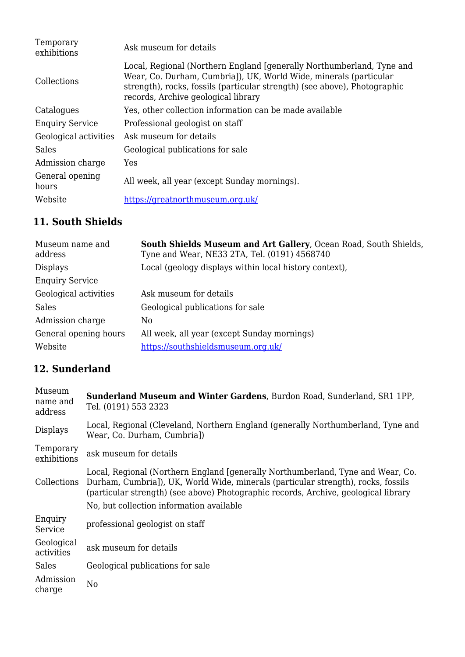| Temporary<br>exhibitions | Ask museum for details                                                                                                                                                                                                                                         |
|--------------------------|----------------------------------------------------------------------------------------------------------------------------------------------------------------------------------------------------------------------------------------------------------------|
| Collections              | Local, Regional (Northern England [generally Northumberland, Tyne and<br>Wear, Co. Durham, Cumbria]), UK, World Wide, minerals (particular<br>strength), rocks, fossils (particular strength) (see above), Photographic<br>records, Archive geological library |
| Catalogues               | Yes, other collection information can be made available                                                                                                                                                                                                        |
| <b>Enquiry Service</b>   | Professional geologist on staff                                                                                                                                                                                                                                |
| Geological activities    | Ask museum for details                                                                                                                                                                                                                                         |
| Sales                    | Geological publications for sale                                                                                                                                                                                                                               |
| Admission charge         | Yes                                                                                                                                                                                                                                                            |
| General opening<br>hours | All week, all year (except Sunday mornings).                                                                                                                                                                                                                   |
| Website                  | https://greatnorthmuseum.org.uk/                                                                                                                                                                                                                               |

### **11. South Shields**

| Museum name and<br>address | South Shields Museum and Art Gallery, Ocean Road, South Shields,<br>Tyne and Wear, NE33 2TA, Tel. (0191) 4568740 |
|----------------------------|------------------------------------------------------------------------------------------------------------------|
| <b>Displays</b>            | Local (geology displays within local history context),                                                           |
| <b>Enquiry Service</b>     |                                                                                                                  |
| Geological activities      | Ask museum for details                                                                                           |
| Sales                      | Geological publications for sale                                                                                 |
| Admission charge           | No.                                                                                                              |
| General opening hours      | All week, all year (except Sunday mornings)                                                                      |
| Website                    | https://southshieldsmuseum.org.uk/                                                                               |

#### **12. Sunderland**

| Museum<br>name and<br>address | <b>Sunderland Museum and Winter Gardens, Burdon Road, Sunderland, SR1 1PP,</b><br>Tel. (0191) 553 2323                                                                                                                                                      |
|-------------------------------|-------------------------------------------------------------------------------------------------------------------------------------------------------------------------------------------------------------------------------------------------------------|
| <b>Displays</b>               | Local, Regional (Cleveland, Northern England (generally Northumberland, Tyne and<br>Wear, Co. Durham, Cumbria])                                                                                                                                             |
| Temporary<br>exhibitions      | ask museum for details                                                                                                                                                                                                                                      |
| Collections                   | Local, Regional (Northern England [generally Northumberland, Tyne and Wear, Co.<br>Durham, Cumbria]), UK, World Wide, minerals (particular strength), rocks, fossils<br>(particular strength) (see above) Photographic records, Archive, geological library |
|                               | No, but collection information available                                                                                                                                                                                                                    |
| Enquiry<br>Service            | professional geologist on staff                                                                                                                                                                                                                             |
| Geological<br>activities      | ask museum for details                                                                                                                                                                                                                                      |
| <b>Sales</b>                  | Geological publications for sale                                                                                                                                                                                                                            |
| Admission<br>charge           | N <sub>0</sub>                                                                                                                                                                                                                                              |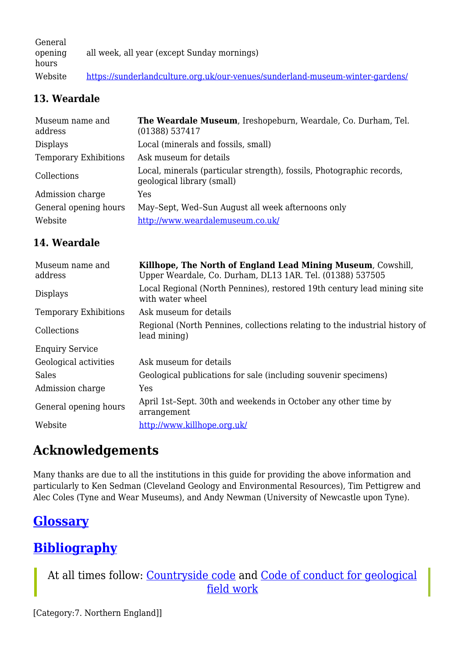General opening hours all week, all year (except Sunday mornings) Website <https://sunderlandculture.org.uk/our-venues/sunderland-museum-winter-gardens/>

#### **13. Weardale**

| Museum name and<br>address   | The Weardale Museum, Ireshopeburn, Weardale, Co. Durham, Tel.<br>(01388) 537417                     |
|------------------------------|-----------------------------------------------------------------------------------------------------|
| <b>Displays</b>              | Local (minerals and fossils, small)                                                                 |
| <b>Temporary Exhibitions</b> | Ask museum for details                                                                              |
| Collections                  | Local, minerals (particular strength), fossils, Photographic records,<br>geological library (small) |
| Admission charge             | Yes                                                                                                 |
| General opening hours        | May-Sept, Wed-Sun August all week afternoons only                                                   |
| Website                      | http://www.weardalemuseum.co.uk/                                                                    |

#### **14. Weardale**

| Museum name and<br>address   | Killhope, The North of England Lead Mining Museum, Cowshill,<br>Upper Weardale, Co. Durham, DL13 1AR. Tel. (01388) 537505 |
|------------------------------|---------------------------------------------------------------------------------------------------------------------------|
| <b>Displays</b>              | Local Regional (North Pennines), restored 19th century lead mining site<br>with water wheel                               |
| <b>Temporary Exhibitions</b> | Ask museum for details                                                                                                    |
| Collections                  | Regional (North Pennines, collections relating to the industrial history of<br>lead mining)                               |
| <b>Enquiry Service</b>       |                                                                                                                           |
| Geological activities        | Ask museum for details                                                                                                    |
| Sales                        | Geological publications for sale (including souvenir specimens)                                                           |
| Admission charge             | Yes                                                                                                                       |
| General opening hours        | April 1st-Sept. 30th and weekends in October any other time by<br>arrangement                                             |
| Website                      | http://www.killhope.org.uk/                                                                                               |

# **Acknowledgements**

Many thanks are due to all the institutions in this guide for providing the above information and particularly to Ken Sedman (Cleveland Geology and Environmental Resources), Tim Pettigrew and Alec Coles (Tyne and Wear Museums), and Andy Newman (University of Newcastle upon Tyne).

# **[Glossary](http://earthwise.bgs.ac.uk/index.php/Northumbrian_rocks_and_landscape:_a_field_guide#Glossary)**

# **[Bibliography](http://earthwise.bgs.ac.uk/index.php/Northumbrian_rocks_and_landscape:_a_field_guide#Bibliography)**

At all times follow: [Countryside code](https://www.gov.uk/government/publications/the-countryside-code) and [Code of conduct for geological](https://www.scottishgeology.com/where-to-go/geological-fieldwork-code/) [field work](https://www.scottishgeology.com/where-to-go/geological-fieldwork-code/)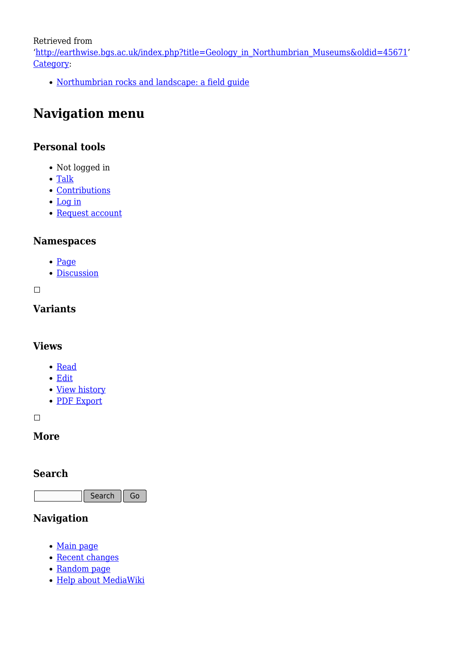Retrieved from

'[http://earthwise.bgs.ac.uk/index.php?title=Geology\\_in\\_Northumbrian\\_Museums&oldid=45671](http://earthwise.bgs.ac.uk/index.php?title=Geology_in_Northumbrian_Museums&oldid=45671)' [Category](http://earthwise.bgs.ac.uk/index.php/Special:Categories):

[Northumbrian rocks and landscape: a field guide](http://earthwise.bgs.ac.uk/index.php/Category:Northumbrian_rocks_and_landscape:_a_field_guide)

# **Navigation menu**

#### **Personal tools**

- Not logged in
- [Talk](http://earthwise.bgs.ac.uk/index.php/Special:MyTalk)
- [Contributions](http://earthwise.bgs.ac.uk/index.php/Special:MyContributions)
- [Log in](http://earthwise.bgs.ac.uk/index.php?title=Special:UserLogin&returnto=Geology+in+Northumbrian+Museums&returntoquery=action%3Dmpdf)
- [Request account](http://earthwise.bgs.ac.uk/index.php/Special:RequestAccount)

#### **Namespaces**

- [Page](http://earthwise.bgs.ac.uk/index.php/Geology_in_Northumbrian_Museums)
- [Discussion](http://earthwise.bgs.ac.uk/index.php?title=Talk:Geology_in_Northumbrian_Museums&action=edit&redlink=1)

 $\Box$ 

#### **Variants**

#### **Views**

- [Read](http://earthwise.bgs.ac.uk/index.php/Geology_in_Northumbrian_Museums)
- [Edit](http://earthwise.bgs.ac.uk/index.php?title=Geology_in_Northumbrian_Museums&action=edit)
- [View history](http://earthwise.bgs.ac.uk/index.php?title=Geology_in_Northumbrian_Museums&action=history)
- [PDF Export](http://earthwise.bgs.ac.uk/index.php?title=Geology_in_Northumbrian_Museums&action=mpdf)

 $\overline{\phantom{a}}$ 

#### **More**

#### **Search**

Search  $\|$  Go

#### **Navigation**

- [Main page](http://earthwise.bgs.ac.uk/index.php/Main_Page)
- [Recent changes](http://earthwise.bgs.ac.uk/index.php/Special:RecentChanges)
- [Random page](http://earthwise.bgs.ac.uk/index.php/Special:Random)
- [Help about MediaWiki](https://www.mediawiki.org/wiki/Special:MyLanguage/Help:Contents)